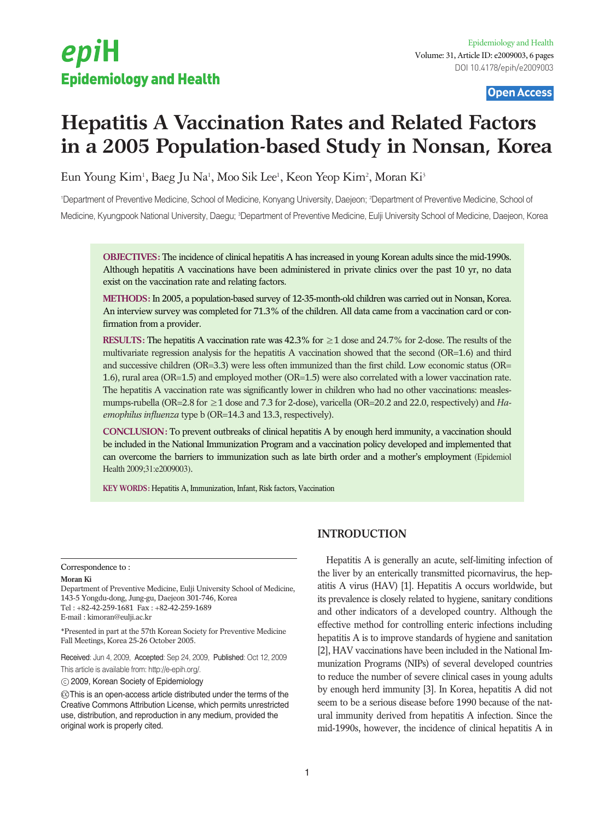# epiH Epidemiology and Health

## Open Access

## **Hepatitis A Vaccination Rates and Related Factors in a 2005 Population-based Study in Nonsan, Korea**

Eun Young Kim<sup>1</sup>, Baeg Ju Na<sup>1</sup>, Moo Sik Lee<sup>1</sup>, Keon Yeop Kim<sup>2</sup>, Moran Ki<sup>3</sup>

1 Department of Preventive Medicine, School of Medicine, Konyang University, Daejeon; 2 Department of Preventive Medicine, School of Medicine, Kyungpook National University, Daegu; <sup>3</sup>Department of Preventive Medicine, Eulji University School of Medicine, Daejeon, Korea

**OBJECTIVES:** The incidence of clinical hepatitis A has increased in young Korean adults since the mid-1990s. Although hepatitis A vaccinations have been administered in private clinics over the past 10 yr, no data exist on the vaccination rate and relating factors.

**METHODS:** In 2005, a population-based survey of 12-35-month-old children was carried out in Nonsan, Korea. An interview survey was completed for 71.3% of the children. All data came from a vaccination card or confirmation from a provider.

**RESULTS:** The hepatitis A vaccination rate was 42.3% for ≥1 dose and 24.7% for 2-dose. The results of the multivariate regression analysis for the hepatitis A vaccination showed that the second (OR=1.6) and third and successive children (OR=3.3) were less often immunized than the first child. Low economic status (OR= 1.6), rural area (OR=1.5) and employed mother (OR=1.5) were also correlated with a lower vaccination rate. The hepatitis A vaccination rate was significantly lower in children who had no other vaccinations: measlesmumps-rubella (OR=2.8 for ≥1 dose and 7.3 for 2-dose), varicella (OR=20.2 and 22.0, respectively) and *Haemophilus influenza* type b (OR=14.3 and 13.3, respectively).

**CONCLUSION:** To prevent outbreaks of clinical hepatitis A by enough herd immunity, a vaccination should be included in the National Immunization Program and a vaccination policy developed and implemented that can overcome the barriers to immunization such as late birth order and a mother's employment (Epidemiol Health 2009;31:e2009003).

**KEY WORDS:** Hepatitis A, Immunization, Infant, Risk factors, Vaccination

#### Correspondence to :

#### **Moran Ki**

Department of Preventive Medicine, Eulji University School of Medicine, 143-5 Yongdu-dong, Jung-gu, Daejeon 301-746, Korea Tel : +82-42-259-1681 Fax : +82-42-259-1689 E-mail : kimoran@eulji.ac.kr

\*Presented in part at the 57th Korean Society for Preventive Medicine Fall Meetings, Korea 25-26 October 2005.

Received: Jun 4, 2009, Accepted: Sep 24, 2009, Published: Oct 12, 2009 This article is available from: http://e-epih.org/.

2009, Korean Society of Epidemiology

 $\copyright$  This is an open-access article distributed under the terms of the Creative Commons Attribution License, which permits unrestricted use, distribution, and reproduction in any medium, provided the original work is properly cited.

## **INTRODUCTION**

Hepatitis A is generally an acute, self-limiting infection of the liver by an enterically transmitted picornavirus, the hepatitis A virus (HAV) [1]. Hepatitis A occurs worldwide, but its prevalence is closely related to hygiene, sanitary conditions and other indicators of a developed country. Although the effective method for controlling enteric infections including hepatitis A is to improve standards of hygiene and sanitation [2], HAV vaccinations have been included in the National Immunization Programs (NIPs) of several developed countries to reduce the number of severe clinical cases in young adults by enough herd immunity [3]. In Korea, hepatitis A did not seem to be a serious disease before 1990 because of the natural immunity derived from hepatitis A infection. Since the mid-1990s, however, the incidence of clinical hepatitis A in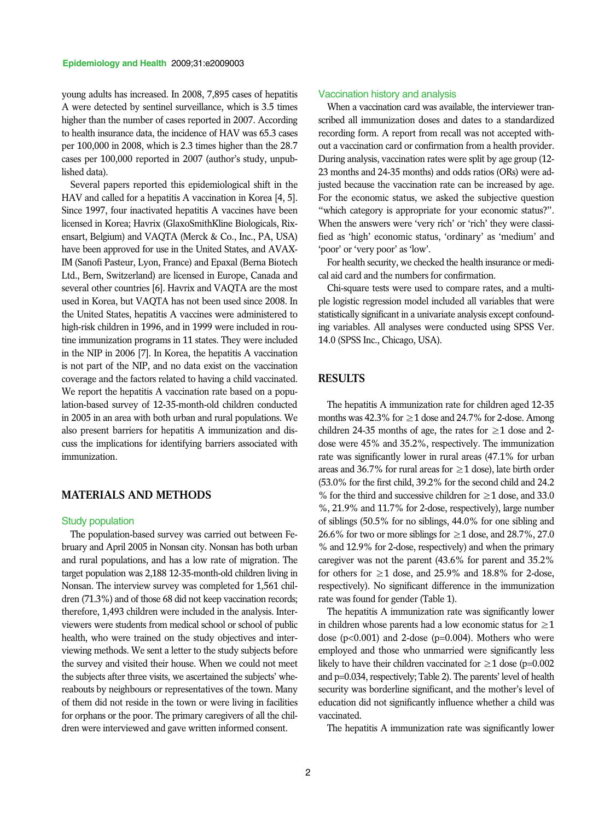young adults has increased. In 2008, 7,895 cases of hepatitis A were detected by sentinel surveillance, which is 3.5 times higher than the number of cases reported in 2007. According to health insurance data, the incidence of HAV was 65.3 cases per 100,000 in 2008, which is 2.3 times higher than the 28.7 cases per 100,000 reported in 2007 (author's study, unpublished data).

Several papers reported this epidemiological shift in the HAV and called for a hepatitis A vaccination in Korea [4, 5]. Since 1997, four inactivated hepatitis A vaccines have been licensed in Korea; Havrix (GlaxoSmithKline Biologicals, Rixensart, Belgium) and VAQTA (Merck & Co., Inc., PA, USA) have been approved for use in the United States, and AVAX-IM (Sanofi Pasteur, Lyon, France) and Epaxal (Berna Biotech Ltd., Bern, Switzerland) are licensed in Europe, Canada and several other countries [6]. Havrix and VAQTA are the most used in Korea, but VAQTA has not been used since 2008. In the United States, hepatitis A vaccines were administered to high-risk children in 1996, and in 1999 were included in routine immunization programs in 11 states. They were included in the NIP in 2006 [7]. In Korea, the hepatitis A vaccination is not part of the NIP, and no data exist on the vaccination coverage and the factors related to having a child vaccinated. We report the hepatitis A vaccination rate based on a population-based survey of 12-35-month-old children conducted in 2005 in an area with both urban and rural populations. We also present barriers for hepatitis A immunization and discuss the implications for identifying barriers associated with immunization.

## **MATERIALS AND METHODS**

#### Study population

The population-based survey was carried out between February and April 2005 in Nonsan city. Nonsan has both urban and rural populations, and has a low rate of migration. The target population was 2,188 12-35-month-old children living in Nonsan. The interview survey was completed for 1,561 children (71.3%) and of those 68 did not keep vaccination records; therefore, 1,493 children were included in the analysis. Interviewers were students from medical school or school of public health, who were trained on the study objectives and interviewing methods. We sent a letter to the study subjects before the survey and visited their house. When we could not meet the subjects after three visits, we ascertained the subjects' whereabouts by neighbours or representatives of the town. Many of them did not reside in the town or were living in facilities for orphans or the poor. The primary caregivers of all the children were interviewed and gave written informed consent.

#### Vaccination history and analysis

When a vaccination card was available, the interviewer transcribed all immunization doses and dates to a standardized recording form. A report from recall was not accepted without a vaccination card or confirmation from a health provider. During analysis, vaccination rates were split by age group (12- 23 months and 24-35 months) and odds ratios (ORs) were adjusted because the vaccination rate can be increased by age. For the economic status, we asked the subjective question "which category is appropriate for your economic status?". When the answers were 'very rich' or 'rich' they were classified as 'high' economic status, 'ordinary' as 'medium' and 'poor' or 'very poor' as 'low'.

For health security, we checked the health insurance or medical aid card and the numbers for confirmation.

Chi-square tests were used to compare rates, and a multiple logistic regression model included all variables that were statistically significant in a univariate analysis except confounding variables. All analyses were conducted using SPSS Ver. 14.0 (SPSS Inc., Chicago, USA).

## **RESULTS**

The hepatitis A immunization rate for children aged 12-35 months was 42.3% for  $\geq 1$  dose and 24.7% for 2-dose. Among children 24-35 months of age, the rates for  $\geq$  1 dose and 2dose were 45% and 35.2%, respectively. The immunization rate was significantly lower in rural areas (47.1% for urban areas and 36.7% for rural areas for  $\geq$  1 dose), late birth order (53.0% for the first child, 39.2% for the second child and 24.2 % for the third and successive children for  $\geq 1$  dose, and 33.0 %, 21.9% and 11.7% for 2-dose, respectively), large number of siblings (50.5% for no siblings, 44.0% for one sibling and 26.6% for two or more siblings for  $\geq 1$  dose, and 28.7%, 27.0 % and 12.9% for 2-dose, respectively) and when the primary caregiver was not the parent (43.6% for parent and 35.2% for others for  $\geq 1$  dose, and 25.9% and 18.8% for 2-dose, respectively). No significant difference in the immunization rate was found for gender (Table 1).

The hepatitis A immunization rate was significantly lower in children whose parents had a low economic status for  $\geq 1$ dose  $(p<0.001)$  and 2-dose  $(p=0.004)$ . Mothers who were employed and those who unmarried were significantly less likely to have their children vaccinated for  $\geq 1$  dose (p=0.002 and p=0.034, respectively; Table 2). The parents' level of health security was borderline significant, and the mother's level of education did not significantly influence whether a child was vaccinated.

The hepatitis A immunization rate was significantly lower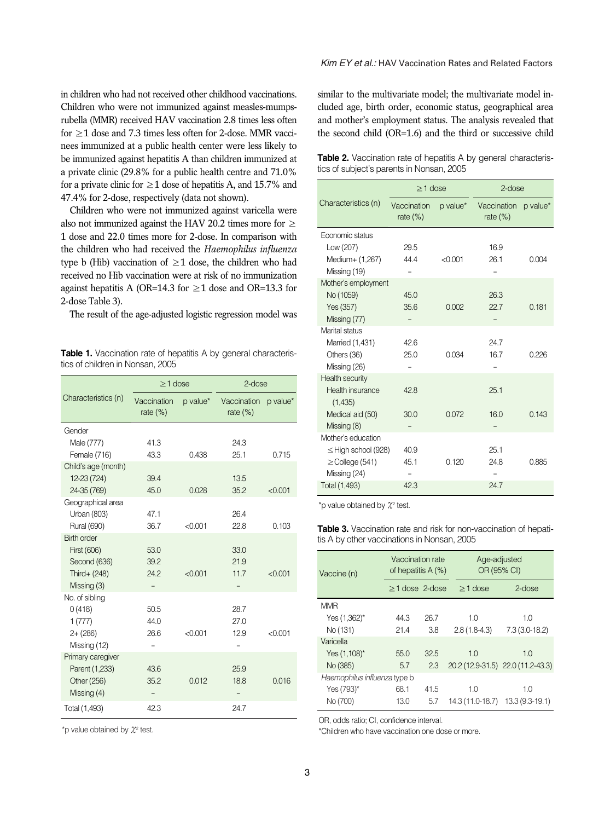in children who had not received other childhood vaccinations. Children who were not immunized against measles-mumpsrubella (MMR) received HAV vaccination 2.8 times less often for ≥1 dose and 7.3 times less often for 2-dose. MMR vaccinees immunized at a public health center were less likely to be immunized against hepatitis A than children immunized at a private clinic (29.8% for a public health centre and 71.0% for a private clinic for  $\geq 1$  dose of hepatitis A, and 15.7% and 47.4% for 2-dose, respectively (data not shown).

Children who were not immunized against varicella were also not immunized against the HAV 20.2 times more for  $\geq$ 1 dose and 22.0 times more for 2-dose. In comparison with the children who had received the *Haemophilus influenza* type b (Hib) vaccination of  $\geq 1$  dose, the children who had received no Hib vaccination were at risk of no immunization against hepatitis A (OR=14.3 for  $\geq$ 1 dose and OR=13.3 for 2-dose Table 3).

The result of the age-adjusted logistic regression model was

**Table 1.** Vaccination rate of hepatitis A by general characteristics of children in Nonsan, 2005

|                     | $>1$ dose                  |          | $2$ -dose                  |          |
|---------------------|----------------------------|----------|----------------------------|----------|
| Characteristics (n) | Vaccination<br>rate $(\%)$ | p value* | Vaccination<br>rate $(\%)$ | p value* |
| Gender              |                            |          |                            |          |
| Male (777)          | 41.3                       |          | 24.3                       |          |
| Female (716)        | 43.3                       | 0.438    | 25.1                       | 0.715    |
| Child's age (month) |                            |          |                            |          |
| 12-23 (724)         | 39.4                       |          | 13.5                       |          |
| 24-35 (769)         | 45.0                       | 0.028    | 35.2                       | < 0.001  |
| Geographical area   |                            |          |                            |          |
| Urban (803)         | 47.1                       |          | 26.4                       |          |
| <b>Rural (690)</b>  | 36.7                       | < 0.001  | 22.8                       | 0.103    |
| <b>Birth order</b>  |                            |          |                            |          |
| First (606)         | 53.0                       |          | 33.0                       |          |
| Second (636)        | 39.2                       |          | 21.9                       |          |
| Third+ (248)        | 24.2                       | < 0.001  | 11.7                       | < 0.001  |
| Missing (3)         |                            |          |                            |          |
| No. of sibling      |                            |          |                            |          |
| 0(418)              | 50.5                       |          | 28.7                       |          |
| 1(777)              | 44.0                       |          | 27.0                       |          |
| $2 + (286)$         | 26.6                       | < 0.001  | 12.9                       | < 0.001  |
| Missing (12)        |                            |          |                            |          |
| Primary caregiver   |                            |          |                            |          |
| Parent (1,233)      | 43.6                       |          | 25.9                       |          |
| Other (256)         | 35.2                       | 0.012    | 18.8                       | 0.016    |
| Missing (4)         |                            |          |                            |          |
| Total (1,493)       | 42.3                       |          | 24.7                       |          |

\*p value obtained by  $\mathcal{X}^2$  test.

## *Kim EY et al.:* HAV Vaccination Rates and Related Factors

similar to the multivariate model; the multivariate model included age, birth order, economic status, geographical area and mother's employment status. The analysis revealed that the second child (OR=1.6) and the third or successive child

**Table 2.** Vaccination rate of hepatitis A by general characteristics of subject's parents in Nonsan, 2005

|                             | $\geq$ 1 dose              |          | $2$ -dose                  |          |  |
|-----------------------------|----------------------------|----------|----------------------------|----------|--|
| Characteristics (n)         | Vaccination<br>rate $(\%)$ | p value* | Vaccination<br>rate $(\%)$ | p value* |  |
| Economic status             |                            |          |                            |          |  |
| Low (207)                   | 29.5                       |          | 16.9                       |          |  |
| Medium+ (1,267)             | 44.4                       | < 0.001  | 26.1                       | 0.004    |  |
| Missing (19)                |                            |          |                            |          |  |
| Mother's employment         |                            |          |                            |          |  |
| No (1059)                   | 45.0                       |          | 26.3                       |          |  |
| Yes (357)                   | 35.6                       | 0.002    | 22.7                       | 0.181    |  |
| Missing (77)                |                            |          |                            |          |  |
| Marital status              |                            |          |                            |          |  |
| Married (1,431)             | 42.6                       |          | 24.7                       |          |  |
| Others (36)                 | 25.0                       | 0.034    | 16.7                       | 0.226    |  |
| Missing (26)                |                            |          |                            |          |  |
| Health security             |                            |          |                            |          |  |
| Health insurance<br>(1,435) | 42.8                       |          | 25.1                       |          |  |
| Medical aid (50)            | 30.0                       | 0.072    | 16.0                       | 0.143    |  |
| Missing (8)                 |                            |          |                            |          |  |
| Mother's education          |                            |          |                            |          |  |
| $\leq$ High school (928)    | 40.9                       |          | 25.1                       |          |  |
| $\geq$ College (541)        | 45.1                       | 0.120    | 24.8                       | 0.885    |  |
| Missing (24)                |                            |          |                            |          |  |
| Total (1,493)               | 42.3                       |          | 24.7                       |          |  |

\*p value obtained by  $\chi^2$  test.

**Table 3.** Vaccination rate and risk for non-vaccination of hepatitis A by other vaccinations in Nonsan, 2005

| Vaccine (n)                  | Vaccination rate<br>of hepatitis A (%) |      | Age-adjusted<br>OR (95% CI) |                                   |  |
|------------------------------|----------------------------------------|------|-----------------------------|-----------------------------------|--|
|                              | $>1$ dose 2-dose                       |      | $>1$ dose                   | $2$ -dose                         |  |
| <b>MMR</b>                   |                                        |      |                             |                                   |  |
| Yes (1,362)*                 | 44.3                                   | 26.7 | 1.0                         | 1.0                               |  |
| No (131)                     | 214                                    | 3.8  | $2.8(1.8-4.3)$              | $7.3(3.0-18.2)$                   |  |
| Varicella                    |                                        |      |                             |                                   |  |
| Yes (1,108)*                 | 55.0                                   | 32.5 | 1.0                         | 1.0                               |  |
| No (385)                     | 5.7                                    | 2.3  |                             | 20.2 (12.9-31.5) 22.0 (11.2-43.3) |  |
| Haemophilus influenza type b |                                        |      |                             |                                   |  |
| Yes (793)*                   | 68.1                                   | 41.5 | 10                          | 1.0                               |  |
| No (700)                     | 13.0                                   | 5.7  | 14.3 (11.0-18.7)            | $13.3(9.3-19.1)$                  |  |

OR, odds ratio; CI, confidence interval.

\*Children who have vaccination one dose or more.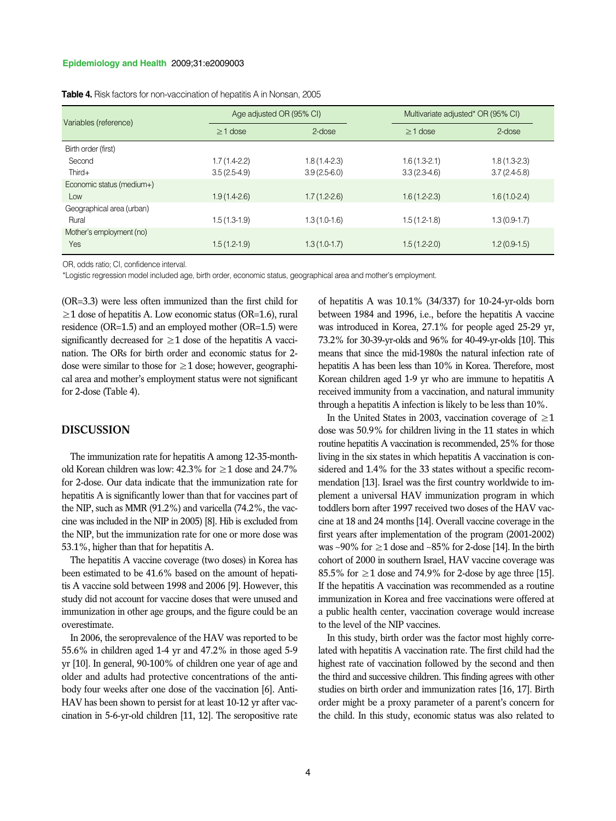#### **Epidemiology and Health** 2009;31:e2009003

| Variables (reference)     | Age adjusted OR (95% CI) |                | Multivariate adjusted* OR (95% CI) |                |
|---------------------------|--------------------------|----------------|------------------------------------|----------------|
|                           | $\geq$ 1 dose            | 2-dose         | $\geq$ 1 dose                      | 2-dose         |
| Birth order (first)       |                          |                |                                    |                |
| Second                    | $1.7(1.4-2.2)$           | 1.8 (1.4-2.3)  | $1.6(1.3-2.1)$                     | $1.8(1.3-2.3)$ |
| $Third+$                  | $3.5(2.5-4.9)$           | $3.9(2.5-6.0)$ | $3.3(2.3-4.6)$                     | $3.7(2.4-5.8)$ |
| Economic status (medium+) |                          |                |                                    |                |
| Low                       | $1.9(1.4-2.6)$           | $1.7(1.2-2.6)$ | $1.6(1.2-2.3)$                     | $1.6(1.0-2.4)$ |
| Geographical area (urban) |                          |                |                                    |                |
| Rural                     | $1.5(1.3-1.9)$           | $1.3(1.0-1.6)$ | $1.5(1.2-1.8)$                     | $1.3(0.9-1.7)$ |
| Mother's employment (no)  |                          |                |                                    |                |
| Yes                       | $1.5(1.2-1.9)$           | $1.3(1.0-1.7)$ | $1.5(1.2-2.0)$                     | $1.2(0.9-1.5)$ |

**Table 4.** Risk factors for non-vaccination of hepatitis A in Nonsan, 2005

OR, odds ratio; CI, confidence interval.

\*Logistic regression model included age, birth order, economic status, geographical area and mother's employment.

(OR=3.3) were less often immunized than the first child for  $\geq$ 1 dose of hepatitis A. Low economic status (OR=1.6), rural residence (OR=1.5) and an employed mother (OR=1.5) were significantly decreased for  $\geq$ 1 dose of the hepatitis A vaccination. The ORs for birth order and economic status for 2 dose were similar to those for  $\geq 1$  dose; however, geographical area and mother's employment status were not significant for 2-dose (Table 4).

## **DISCUSSION**

The immunization rate for hepatitis A among 12-35-monthold Korean children was low: 42.3% for  $\geq$  1 dose and 24.7% for 2-dose. Our data indicate that the immunization rate for hepatitis A is significantly lower than that for vaccines part of the NIP, such as MMR (91.2%) and varicella (74.2%, the vaccine was included in the NIP in 2005) [8]. Hib is excluded from the NIP, but the immunization rate for one or more dose was 53.1%, higher than that for hepatitis A.

The hepatitis A vaccine coverage (two doses) in Korea has been estimated to be 41.6% based on the amount of hepatitis A vaccine sold between 1998 and 2006 [9]. However, this study did not account for vaccine doses that were unused and immunization in other age groups, and the figure could be an overestimate.

In 2006, the seroprevalence of the HAV was reported to be 55.6% in children aged 1-4 yr and 47.2% in those aged 5-9 yr [10]. In general, 90-100% of children one year of age and older and adults had protective concentrations of the antibody four weeks after one dose of the vaccination [6]. Anti-HAV has been shown to persist for at least 10-12 yr after vaccination in 5-6-yr-old children [11, 12]. The seropositive rate

of hepatitis A was 10.1% (34/337) for 10-24-yr-olds born between 1984 and 1996, i.e., before the hepatitis A vaccine was introduced in Korea, 27.1% for people aged 25-29 yr, 73.2% for 30-39-yr-olds and 96% for 40-49-yr-olds [10]. This means that since the mid-1980s the natural infection rate of hepatitis A has been less than 10% in Korea. Therefore, most Korean children aged 1-9 yr who are immune to hepatitis A received immunity from a vaccination, and natural immunity through a hepatitis A infection is likely to be less than 10%.

In the United States in 2003, vaccination coverage of  $\geq 1$ dose was 50.9% for children living in the 11 states in which routine hepatitis A vaccination is recommended, 25% for those living in the six states in which hepatitis A vaccination is considered and 1.4% for the 33 states without a specific recommendation [13]. Israel was the first country worldwide to implement a universal HAV immunization program in which toddlers born after 1997 received two doses of the HAV vaccine at 18 and 24 months [14]. Overall vaccine coverage in the first years after implementation of the program (2001-2002) was ~90% for  $\geq$ 1 dose and ~85% for 2-dose [14]. In the birth cohort of 2000 in southern Israel, HAV vaccine coverage was 85.5% for  $\geq$  1 dose and 74.9% for 2-dose by age three [15]. If the hepatitis A vaccination was recommended as a routine immunization in Korea and free vaccinations were offered at a public health center, vaccination coverage would increase to the level of the NIP vaccines.

In this study, birth order was the factor most highly correlated with hepatitis A vaccination rate. The first child had the highest rate of vaccination followed by the second and then the third and successive children. This finding agrees with other studies on birth order and immunization rates [16, 17]. Birth order might be a proxy parameter of a parent's concern for the child. In this study, economic status was also related to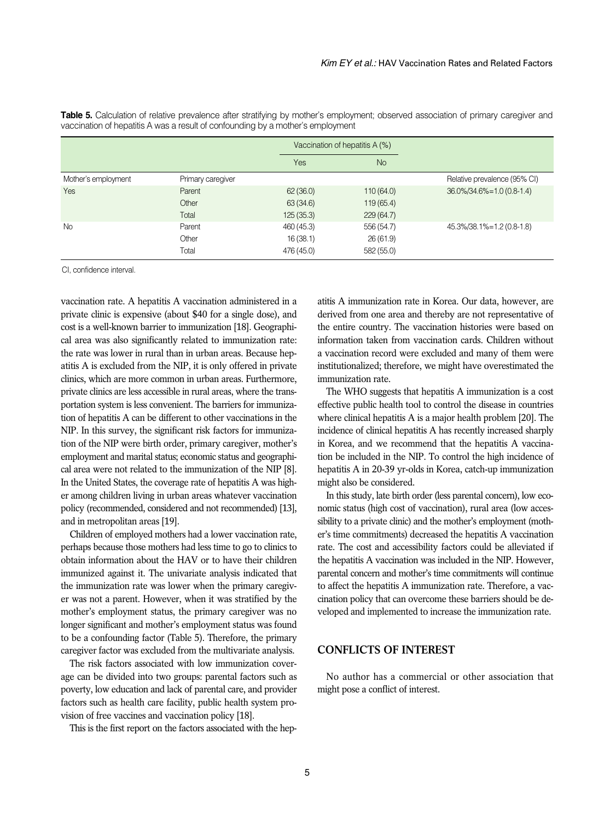|                     |                   |            | Vaccination of hepatitis A (%) |                              |
|---------------------|-------------------|------------|--------------------------------|------------------------------|
|                     |                   | Yes        | <b>No</b>                      |                              |
| Mother's employment | Primary caregiver |            |                                | Relative prevalence (95% CI) |
| Yes                 | Parent            | 62(36.0)   | 110(64.0)                      | 36.0%/34.6%=1.0 (0.8-1.4)    |
|                     | Other             | 63 (34.6)  | 119(65.4)                      |                              |
|                     | Total             | 125(35.3)  | 229(64.7)                      |                              |
| <b>No</b>           | Parent            | 460 (45.3) | 556 (54.7)                     | 45.3%/38.1%=1.2 (0.8-1.8)    |
|                     | Other             | 16(38.1)   | 26(61.9)                       |                              |
|                     | Total             | 476 (45.0) | 582 (55.0)                     |                              |

Table 5. Calculation of relative prevalence after stratifying by mother's employment; observed association of primary caregiver and vaccination of hepatitis A was a result of confounding by a mother's employment

CI, confidence interval.

vaccination rate. A hepatitis A vaccination administered in a private clinic is expensive (about \$40 for a single dose), and cost is a well-known barrier to immunization [18]. Geographical area was also significantly related to immunization rate: the rate was lower in rural than in urban areas. Because hepatitis A is excluded from the NIP, it is only offered in private clinics, which are more common in urban areas. Furthermore, private clinics are less accessible in rural areas, where the transportation system is less convenient. The barriers for immunization of hepatitis A can be different to other vaccinations in the NIP. In this survey, the significant risk factors for immunization of the NIP were birth order, primary caregiver, mother's employment and marital status; economic status and geographical area were not related to the immunization of the NIP [8]. In the United States, the coverage rate of hepatitis A was higher among children living in urban areas whatever vaccination policy (recommended, considered and not recommended) [13], and in metropolitan areas [19].

Children of employed mothers had a lower vaccination rate, perhaps because those mothers had less time to go to clinics to obtain information about the HAV or to have their children immunized against it. The univariate analysis indicated that the immunization rate was lower when the primary caregiver was not a parent. However, when it was stratified by the mother's employment status, the primary caregiver was no longer significant and mother's employment status was found to be a confounding factor (Table 5). Therefore, the primary caregiver factor was excluded from the multivariate analysis.

The risk factors associated with low immunization coverage can be divided into two groups: parental factors such as poverty, low education and lack of parental care, and provider factors such as health care facility, public health system provision of free vaccines and vaccination policy [18].

This is the first report on the factors associated with the hep-

atitis A immunization rate in Korea. Our data, however, are derived from one area and thereby are not representative of the entire country. The vaccination histories were based on information taken from vaccination cards. Children without a vaccination record were excluded and many of them were institutionalized; therefore, we might have overestimated the immunization rate.

The WHO suggests that hepatitis A immunization is a cost effective public health tool to control the disease in countries where clinical hepatitis A is a major health problem [20]. The incidence of clinical hepatitis A has recently increased sharply in Korea, and we recommend that the hepatitis A vaccination be included in the NIP. To control the high incidence of hepatitis A in 20-39 yr-olds in Korea, catch-up immunization might also be considered.

In this study, late birth order (less parental concern), low economic status (high cost of vaccination), rural area (low accessibility to a private clinic) and the mother's employment (mother's time commitments) decreased the hepatitis A vaccination rate. The cost and accessibility factors could be alleviated if the hepatitis A vaccination was included in the NIP. However, parental concern and mother's time commitments will continue to affect the hepatitis A immunization rate. Therefore, a vaccination policy that can overcome these barriers should be developed and implemented to increase the immunization rate.

## **CONFLICTS OF INTEREST**

No author has a commercial or other association that might pose a conflict of interest.